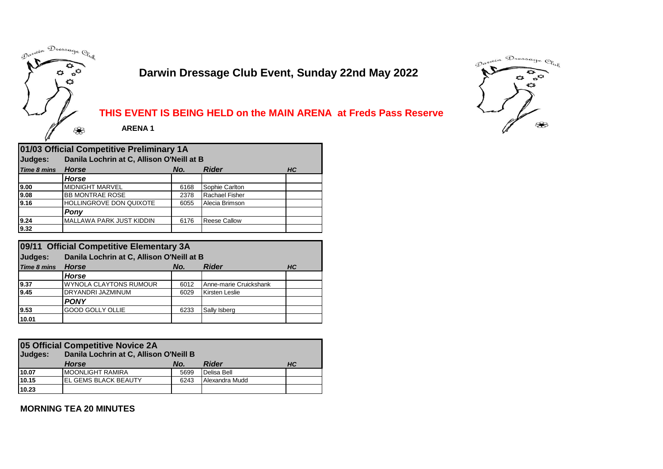

# **Darwin Dressage Club Event, Sunday 22nd May 2022**



### **THIS EVENT IS BEING HELD on the MAIN ARENA at Freds Pass Reserve**

| 01/03 Official Competitive Preliminary 1A |                                           |                           |                       |  |  |  |  |  |  |  |
|-------------------------------------------|-------------------------------------------|---------------------------|-----------------------|--|--|--|--|--|--|--|
| Judges:                                   | Danila Lochrin at C, Allison O'Neill at B |                           |                       |  |  |  |  |  |  |  |
| <b>Time 8 mins</b>                        | <b>Horse</b>                              | <b>Rider</b><br>No.<br>HC |                       |  |  |  |  |  |  |  |
|                                           | Horse                                     |                           |                       |  |  |  |  |  |  |  |
| 9.00                                      | <b>MIDNIGHT MARVEL</b>                    | 6168                      | Sophie Carlton        |  |  |  |  |  |  |  |
| 9.08                                      | <b>BB MONTRAE ROSE</b>                    | 2378                      | <b>Rachael Fisher</b> |  |  |  |  |  |  |  |
| 9.16                                      | <b>HOLLINGROVE DON QUIXOTE</b>            | 6055                      | Alecia Brimson        |  |  |  |  |  |  |  |
|                                           | Pony                                      |                           |                       |  |  |  |  |  |  |  |
| 9.24                                      | MALLAWA PARK JUST KIDDIN                  | 6176                      | <b>Reese Callow</b>   |  |  |  |  |  |  |  |
| 9.32                                      |                                           |                           |                       |  |  |  |  |  |  |  |

| 09/11 Official Competitive Elementary 3A |                                           |                           |                        |  |  |  |  |  |  |  |
|------------------------------------------|-------------------------------------------|---------------------------|------------------------|--|--|--|--|--|--|--|
| Judges:                                  | Danila Lochrin at C, Allison O'Neill at B |                           |                        |  |  |  |  |  |  |  |
| Time 8 mins                              | <b>Horse</b>                              | <b>Rider</b><br>No.<br>HC |                        |  |  |  |  |  |  |  |
|                                          | <b>Horse</b>                              |                           |                        |  |  |  |  |  |  |  |
| 9.37                                     | <b>WYNOLA CLAYTONS RUMOUR</b>             | 6012                      | Anne-marie Cruickshank |  |  |  |  |  |  |  |
| 9.45                                     | DRYANDRI JAZMINUM                         | 6029                      | Kirsten Leslie         |  |  |  |  |  |  |  |
|                                          | <b>PONY</b>                               |                           |                        |  |  |  |  |  |  |  |
| 9.53                                     | <b>GOOD GOLLY OLLIE</b>                   | 6233                      | Sally Isberg           |  |  |  |  |  |  |  |
| 10.01                                    |                                           |                           |                        |  |  |  |  |  |  |  |

| 05 Official Competitive Novice 2A<br>Danila Lochrin at C, Allison O'Neill B<br>Judges: |                             |      |                |    |  |  |  |
|----------------------------------------------------------------------------------------|-----------------------------|------|----------------|----|--|--|--|
|                                                                                        | <b>Horse</b>                | No.  | <b>Rider</b>   | HС |  |  |  |
| 10.07                                                                                  | <b>MOONLIGHT RAMIRA</b>     | 5699 | Delisa Bell    |    |  |  |  |
| 10.15                                                                                  | <b>EL GEMS BLACK BEAUTY</b> | 6243 | Alexandra Mudd |    |  |  |  |
| 10.23                                                                                  |                             |      |                |    |  |  |  |

**MORNING TEA 20 MINUTES**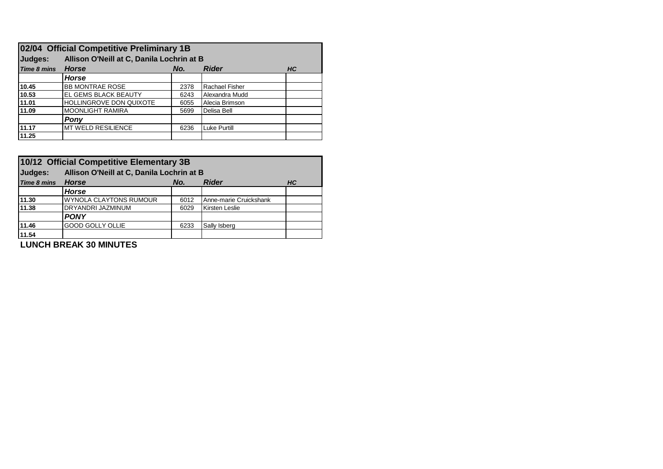| 02/04 Official Competitive Preliminary 1B |                                           |                                  |                |  |  |  |  |  |  |
|-------------------------------------------|-------------------------------------------|----------------------------------|----------------|--|--|--|--|--|--|
| Judges:                                   | Allison O'Neill at C, Danila Lochrin at B |                                  |                |  |  |  |  |  |  |
| <b>Time 8 mins</b>                        | <b>Horse</b>                              | <b>Rider</b><br>No.<br><b>HC</b> |                |  |  |  |  |  |  |
|                                           | <b>Horse</b>                              |                                  |                |  |  |  |  |  |  |
| 10.45                                     | <b>BB MONTRAE ROSE</b>                    | 2378                             | Rachael Fisher |  |  |  |  |  |  |
| 10.53                                     | <b>IEL GEMS BLACK BEAUTY</b>              | 6243                             | Alexandra Mudd |  |  |  |  |  |  |
| 11.01                                     | <b>HOLLINGROVE DON QUIXOTE</b>            | 6055                             | Alecia Brimson |  |  |  |  |  |  |
| 11.09                                     | <b>MOONLIGHT RAMIRA</b>                   | 5699                             | Delisa Bell    |  |  |  |  |  |  |
|                                           | Pony                                      |                                  |                |  |  |  |  |  |  |
| 11.17                                     | MT WELD RESILIENCE                        | 6236                             | Luke Purtill   |  |  |  |  |  |  |
| 11.25                                     |                                           |                                  |                |  |  |  |  |  |  |

| 10/12 Official Competitive Elementary 3B |                                           |                                  |                        |  |  |  |  |  |  |  |  |
|------------------------------------------|-------------------------------------------|----------------------------------|------------------------|--|--|--|--|--|--|--|--|
| Judges:                                  | Allison O'Neill at C, Danila Lochrin at B |                                  |                        |  |  |  |  |  |  |  |  |
| <b>Time 8 mins</b>                       | <b>Horse</b>                              | <b>Rider</b><br>No.<br><b>HC</b> |                        |  |  |  |  |  |  |  |  |
|                                          | <b>Horse</b>                              |                                  |                        |  |  |  |  |  |  |  |  |
| 11.30                                    | WYNOLA CLAYTONS RUMOUR                    | 6012                             | Anne-marie Cruickshank |  |  |  |  |  |  |  |  |
| 11.38                                    | <b>DRYANDRI JAZMINUM</b>                  | 6029                             | Kirsten Leslie         |  |  |  |  |  |  |  |  |
|                                          | <b>PONY</b>                               |                                  |                        |  |  |  |  |  |  |  |  |
| 11.46                                    | <b>GOOD GOLLY OLLIE</b>                   | 6233                             | Sally Isberg           |  |  |  |  |  |  |  |  |
| 11.54                                    |                                           |                                  |                        |  |  |  |  |  |  |  |  |
| .                                        |                                           |                                  |                        |  |  |  |  |  |  |  |  |

**LUNCH BREAK 30 MINUTES**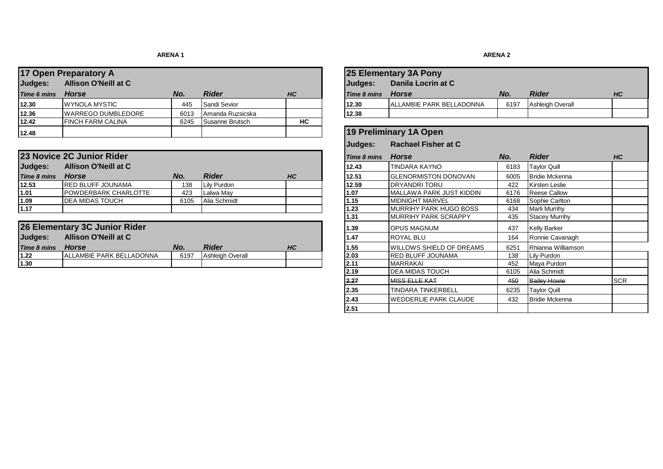### **ARENA 1**

| 17 Open Preparatory A                  |                           |      |                  |    |             | <b>25 Elementary 3A Pony</b>    |      |                         |  |
|----------------------------------------|---------------------------|------|------------------|----|-------------|---------------------------------|------|-------------------------|--|
| Judges:<br><b>Allison O'Neill at C</b> |                           |      |                  |    | Judges:     | Danila Locrin at C              |      |                         |  |
| <b>Time 6 mins</b>                     | Horse                     | No.  | <b>Rider</b>     | HC | Time 8 mins | Horse                           | No.  | <b>Rider</b>            |  |
| 12.30                                  | <b>WYNOLA MYSTIC</b>      | 445  | Sandi Sevior     |    | 12.30       | <b>ALLAMBIE PARK BELLADONNA</b> | 6197 | <b>Ashleigh Overall</b> |  |
| 12.36                                  | <b>WARREGO DUMBLEDORE</b> | 6013 | Amanda Ruzsicska |    | 12.38       |                                 |      |                         |  |
| 12.42                                  | <b>IFINCH FARM CALINA</b> | 6245 | Susanne Brutsch  | НC |             |                                 |      |                         |  |
| 12.48                                  |                           |      |                  |    |             | 19 Preliminary 1A Open          |      |                         |  |

|                    | 23 Novice 2C Junior Rider   |      |              |           | Time 8 mins | <b>Horse</b>                   | No.  | <b>Rider</b>          | HC |
|--------------------|-----------------------------|------|--------------|-----------|-------------|--------------------------------|------|-----------------------|----|
| Judges:            | Allison O'Neill at C        |      |              |           | 12.43       | <b>TINDARA KAYNO</b>           | 6183 | <b>Tavlor Quill</b>   |    |
| <b>Time 8 mins</b> | <b>Horse</b>                | No.  | <b>Rider</b> | <b>HC</b> | 12.51       | <b>IGLENORMISTON DONOVAN</b>   | 6005 | <b>Bridie Mckenna</b> |    |
| 12.53              | <b>IRED BLUFF JOUNAMA</b>   | 138  | Lily Purdon  |           | 12.59       | <b>IDRYANDRI TORU</b>          | 422  | Kirsten Leslie        |    |
| 1.01               | <b>POWDERBARK CHARLOTTE</b> | 423  | Lalwa May    |           | 1.07        | MALLAWA PARK JUST KIDDIN       | 6176 | <b>Reese Callow</b>   |    |
| 1.09               | <b>IDEA MIDAS TOUCH</b>     | 6105 | Alia Schmidt |           | 1.15        | <b>IMIDNIGHT MARVEL</b>        | 6168 | Sophie Carlton        |    |
| 1.17               |                             |      |              |           | 1.23        | <b>IMURRIHY PARK HUGO BOSS</b> | 434  | <b>Marli Murrihy</b>  |    |

|                    | 26 Elementary 3C Junior Rider   |      |                  |           | 1.39  | <b>IOPUS MAGNUM</b>             | 437  | Kelly Barker     |
|--------------------|---------------------------------|------|------------------|-----------|-------|---------------------------------|------|------------------|
| Judges:            | <b>Allison O'Neill at C</b>     |      |                  |           | 1.47  | <b>ROYAL BLU</b>                | 164  | Ronnie Cavanagh  |
| <b>Time 8 mins</b> | <b>Horse</b>                    | No.  | <b>Rider</b>     | <b>HC</b> | 11.55 | <b>WILLOWS SHIELD OF DREAMS</b> | 6251 | Rhianna Williams |
| 1.22               | <b>ALLAMBIE PARK BELLADONNA</b> | 6197 | Ashleigh Overall |           | 2.03  | <b>IRED BLUFF JOUNAMA</b>       | 138  | Lily Purdon      |
| 1.30               |                                 |      |                  |           | 12.11 | MARRAKAI                        | 452  | Mava Purdon      |

# **Judges:** Danila Locrin at C **12.30** ALLAMBIE PARK BELLADONNA 6197 Ashleigh Overall **Judges: Rachael Fisher at C Time 8 8 Minutes 12.51 BLENORMISTON DONOVAN** 6005 Bridie Mckenna<br>**12.59 DRYANDRI TORU** 422 Kirsten Leslie **1.07** MALLAWA PARK JUST KIDDIN 6176 Reese Callow<br>**1.15** MIDNIGHT MARVEL 6168 Sophie Carlton 1.23 MURRIHY PARK HUGO BOSS 434 Marli Murrihy<br>**1.31** MURRIHY PARK SCRAPPY 435 Stacey Murrihy **MURRIHY PARK SCRAPPY** 1.39 OPUS MAGNUM 437 Kelly Barker *Time 8 mins Horse No. Rider HC* **1.55** WILLOWS SHIELD OF DREAMS 6251 Rhianna Williamson 1.220 **1.2.22 RED BLUFF JOUNAMA** 138 Lily Purdon<br>1.2.11 MARRAKAI 138 Mava Purdon **2.19** DEA MIDAS TOUCH 6105 Alia Schmidt<br> **2.27** MISS ELLE KAT 450 Bailey Howie **2.27** MISS ELLE KAT **1999 ASSECTED ASSECTED ASSECTED** ASSECTED ASSECTED ASSECTED ASSECTED ASSECTED ASSECTED ASSECTED ASSECTED ASSECTED ASSECTED ASSECTED ASSECTED ASSECTED ASSECTED ASSECTED ASSECTED ASSECTED ASSECTED ASSEC **235 TINDARA TINKERBELL 12.35 Taylor Quill** 2.43 WEDDERLIE PARK CLAUDE 432 Bridie Mckenna **2.51 25 Elementary 3A Pony 19 Preliminary 1A Open**

#### **ARENA 2**